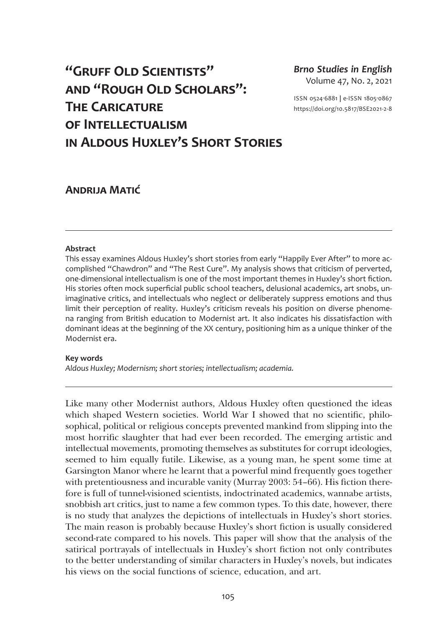# **"Gruff Old Scientists" and "Rough Old Scholars": The Caricature of Intellectualism in Aldous Huxley's Short Stories**

*Brno Studies in English* Volume 47, No. 2, 2021

ISSN 0524-6881 **|** e-ISSN 1805-0867 <https://doi.org/10.5817/BSE2021-2-8>

# **Andrija Matić**

## **Abstract**

This essay examines Aldous Huxley's short stories from early "Happily Ever After" to more accomplished "Chawdron" and "The Rest Cure". My analysis shows that criticism of perverted, one-dimensional intellectualism is one of the most important themes in Huxley's short fiction. His stories often mock superficial public school teachers, delusional academics, art snobs, unimaginative critics, and intellectuals who neglect or deliberately suppress emotions and thus limit their perception of reality. Huxley's criticism reveals his position on diverse phenomena ranging from British education to Modernist art. It also indicates his dissatisfaction with dominant ideas at the beginning of the XX century, positioning him as a unique thinker of the Modernist era.

#### **Key words**

*Aldous Huxley; Modernism; short stories; intellectualism; academia.*

Like many other Modernist authors, Aldous Huxley often questioned the ideas which shaped Western societies. World War I showed that no scientific, philosophical, political or religious concepts prevented mankind from slipping into the most horrific slaughter that had ever been recorded. The emerging artistic and intellectual movements, promoting themselves as substitutes for corrupt ideologies, seemed to him equally futile. Likewise, as a young man, he spent some time at Garsington Manor where he learnt that a powerful mind frequently goes together with pretentiousness and incurable vanity (Murray 2003: 54–66). His fiction therefore is full of tunnel-visioned scientists, indoctrinated academics, wannabe artists, snobbish art critics, just to name a few common types. To this date, however, there is no study that analyzes the depictions of intellectuals in Huxley's short stories. The main reason is probably because Huxley's short fiction is usually considered second-rate compared to his novels. This paper will show that the analysis of the satirical portrayals of intellectuals in Huxley's short fiction not only contributes to the better understanding of similar characters in Huxley's novels, but indicates his views on the social functions of science, education, and art.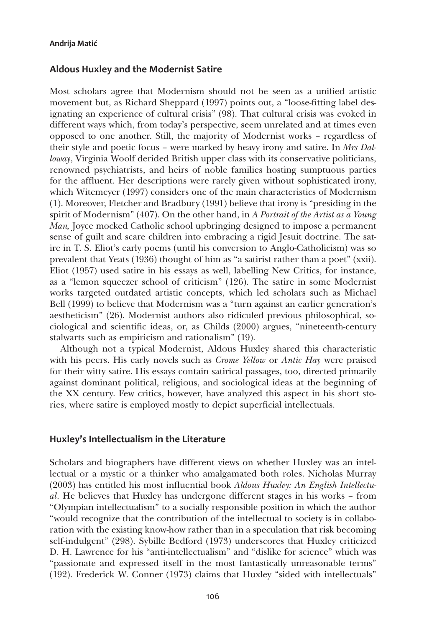## **Aldous Huxley and the Modernist Satire**

Most scholars agree that Modernism should not be seen as a unified artistic movement but, as Richard Sheppard (1997) points out, a "loose-fitting label designating an experience of cultural crisis" (98). That cultural crisis was evoked in different ways which, from today's perspective, seem unrelated and at times even opposed to one another. Still, the majority of Modernist works – regardless of their style and poetic focus – were marked by heavy irony and satire. In *Mrs Dalloway*, Virginia Woolf derided British upper class with its conservative politicians, renowned psychiatrists, and heirs of noble families hosting sumptuous parties for the affluent. Her descriptions were rarely given without sophisticated irony, which Witemeyer (1997) considers one of the main characteristics of Modernism (1). Moreover, Fletcher and Bradbury (1991) believe that irony is "presiding in the spirit of Modernism" (407). On the other hand, in *A Portrait of the Artist as a Young Man,* Joyce mocked Catholic school upbringing designed to impose a permanent sense of guilt and scare children into embracing a rigid Jesuit doctrine. The satire in T. S. Eliot's early poems (until his conversion to Anglo-Catholicism) was so prevalent that Yeats (1936) thought of him as "a satirist rather than a poet" (xxii). Eliot (1957) used satire in his essays as well, labelling New Critics, for instance, as a "lemon squeezer school of criticism" (126). The satire in some Modernist works targeted outdated artistic concepts, which led scholars such as Michael Bell (1999) to believe that Modernism was a "turn against an earlier generation's aestheticism" (26). Modernist authors also ridiculed previous philosophical, sociological and scientific ideas, or, as Childs (2000) argues, "nineteenth-century stalwarts such as empiricism and rationalism" (19).

Although not a typical Modernist, Aldous Huxley shared this characteristic with his peers. His early novels such as *Crome Yellow* or *Antic Hay* were praised for their witty satire. His essays contain satirical passages, too, directed primarily against dominant political, religious, and sociological ideas at the beginning of the XX century. Few critics, however, have analyzed this aspect in his short stories, where satire is employed mostly to depict superficial intellectuals.

## **Huxley's Intellectualism in the Literature**

Scholars and biographers have different views on whether Huxley was an intellectual or a mystic or a thinker who amalgamated both roles. Nicholas Murray (2003) has entitled his most influential book *Aldous Huxley: An English Intellectual*. He believes that Huxley has undergone different stages in his works – from "Olympian intellectualism" to a socially responsible position in which the author "would recognize that the contribution of the intellectual to society is in collaboration with the existing know-how rather than in a speculation that risk becoming self-indulgent" (298). Sybille Bedford (1973) underscores that Huxley criticized D. H. Lawrence for his "anti-intellectualism" and "dislike for science" which was "passionate and expressed itself in the most fantastically unreasonable terms" (192). Frederick W. Conner (1973) claims that Huxley "sided with intellectuals"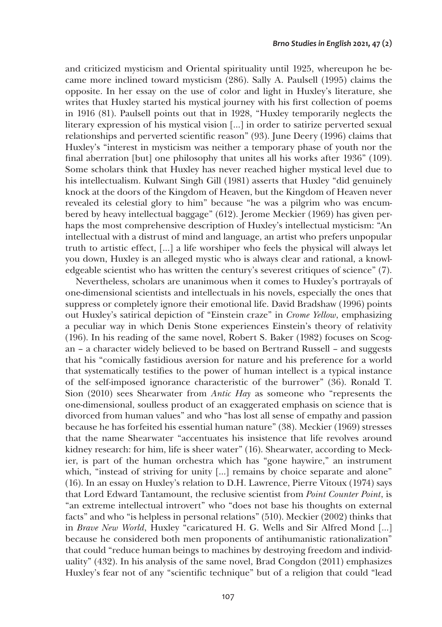and criticized mysticism and Oriental spirituality until 1925, whereupon he became more inclined toward mysticism (286). Sally A. Paulsell (1995) claims the opposite. In her essay on the use of color and light in Huxley's literature, she writes that Huxley started his mystical journey with his first collection of poems in 1916 (81). Paulsell points out that in 1928, "Huxley temporarily neglects the literary expression of his mystical vision […] in order to satirize perverted sexual relationships and perverted scientific reason" (93). June Deery (1996) claims that Huxley's "interest in mysticism was neither a temporary phase of youth nor the final aberration [but] one philosophy that unites all his works after 1936" (109). Some scholars think that Huxley has never reached higher mystical level due to his intellectualism. Kulwant Singh Gill (1981) asserts that Huxley "did genuinely knock at the doors of the Kingdom of Heaven, but the Kingdom of Heaven never revealed its celestial glory to him" because "he was a pilgrim who was encumbered by heavy intellectual baggage" (612). Jerome Meckier (1969) has given perhaps the most comprehensive description of Huxley's intellectual mysticism: "An intellectual with a distrust of mind and language, an artist who prefers unpopular truth to artistic effect, […] a life worshiper who feels the physical will always let you down, Huxley is an alleged mystic who is always clear and rational, a knowledgeable scientist who has written the century's severest critiques of science" (7).

Nevertheless, scholars are unanimous when it comes to Huxley's portrayals of one-dimensional scientists and intellectuals in his novels, especially the ones that suppress or completely ignore their emotional life. David Bradshaw (1996) points out Huxley's satirical depiction of "Einstein craze" in *Crome Yellow*, emphasizing a peculiar way in which Denis Stone experiences Einstein's theory of relativity (196). In his reading of the same novel, Robert S. Baker (1982) focuses on Scogan – a character widely believed to be based on Bertrand Russell – and suggests that his "comically fastidious aversion for nature and his preference for a world that systematically testifies to the power of human intellect is a typical instance of the self-imposed ignorance characteristic of the burrower" (36). Ronald T. Sion (2010) sees Shearwater from *Antic Hay* as someone who "represents the one-dimensional, soulless product of an exaggerated emphasis on science that is divorced from human values" and who "has lost all sense of empathy and passion because he has forfeited his essential human nature" (38). Meckier (1969) stresses that the name Shearwater "accentuates his insistence that life revolves around kidney research: for him, life is sheer water" (16). Shearwater, according to Meckier, is part of the human orchestra which has "gone haywire," an instrument which, "instead of striving for unity [...] remains by choice separate and alone" (16). In an essay on Huxley's relation to D.H. Lawrence, Pierre Vitoux (1974) says that Lord Edward Tantamount, the reclusive scientist from *Point Counter Point*, is "an extreme intellectual introvert" who "does not base his thoughts on external facts" and who "is helpless in personal relations" (510). Meckier (2002) thinks that in *Brave New World*, Huxley "caricatured H. G. Wells and Sir Alfred Mond […] because he considered both men proponents of antihumanistic rationalization" that could "reduce human beings to machines by destroying freedom and individuality" (432). In his analysis of the same novel, Brad Congdon (2011) emphasizes Huxley's fear not of any "scientific technique" but of a religion that could "lead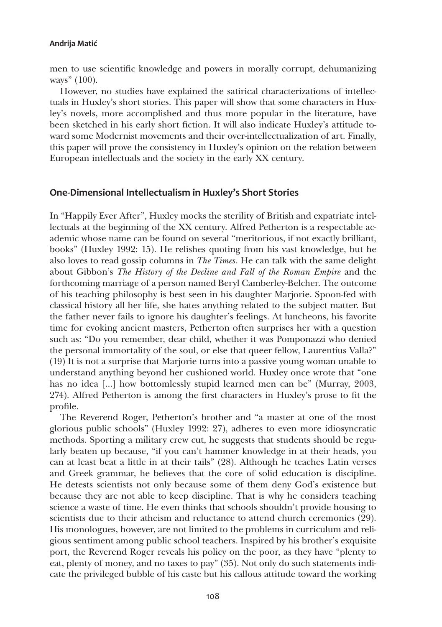men to use scientific knowledge and powers in morally corrupt, dehumanizing ways" (100).

However, no studies have explained the satirical characterizations of intellectuals in Huxley's short stories. This paper will show that some characters in Huxley's novels, more accomplished and thus more popular in the literature, have been sketched in his early short fiction. It will also indicate Huxley's attitude toward some Modernist movements and their over-intellectualization of art. Finally, this paper will prove the consistency in Huxley's opinion on the relation between European intellectuals and the society in the early XX century.

## **One-Dimensional Intellectualism in Huxley's Short Stories**

In "Happily Ever After", Huxley mocks the sterility of British and expatriate intellectuals at the beginning of the XX century. Alfred Petherton is a respectable academic whose name can be found on several "meritorious, if not exactly brilliant, books" (Huxley 1992: 15). He relishes quoting from his vast knowledge, but he also loves to read gossip columns in *The Times*. He can talk with the same delight about Gibbon's *The History of the Decline and Fall of the Roman Empire* and the forthcoming marriage of a person named Beryl Camberley-Belcher. The outcome of his teaching philosophy is best seen in his daughter Marjorie. Spoon-fed with classical history all her life, she hates anything related to the subject matter. But the father never fails to ignore his daughter's feelings. At luncheons, his favorite time for evoking ancient masters, Petherton often surprises her with a question such as: "Do you remember, dear child, whether it was Pomponazzi who denied the personal immortality of the soul, or else that queer fellow, Laurentius Valla?" (19) It is not a surprise that Marjorie turns into a passive young woman unable to understand anything beyond her cushioned world. Huxley once wrote that "one has no idea […] how bottomlessly stupid learned men can be" (Murray, 2003, 274). Alfred Petherton is among the first characters in Huxley's prose to fit the profile.

The Reverend Roger, Petherton's brother and "a master at one of the most glorious public schools" (Huxley 1992: 27), adheres to even more idiosyncratic methods. Sporting a military crew cut, he suggests that students should be regularly beaten up because, "if you can't hammer knowledge in at their heads, you can at least beat a little in at their tails" (28). Although he teaches Latin verses and Greek grammar, he believes that the core of solid education is discipline. He detests scientists not only because some of them deny God's existence but because they are not able to keep discipline. That is why he considers teaching science a waste of time. He even thinks that schools shouldn't provide housing to scientists due to their atheism and reluctance to attend church ceremonies (29). His monologues, however, are not limited to the problems in curriculum and religious sentiment among public school teachers. Inspired by his brother's exquisite port, the Reverend Roger reveals his policy on the poor, as they have "plenty to eat, plenty of money, and no taxes to pay" (35). Not only do such statements indicate the privileged bubble of his caste but his callous attitude toward the working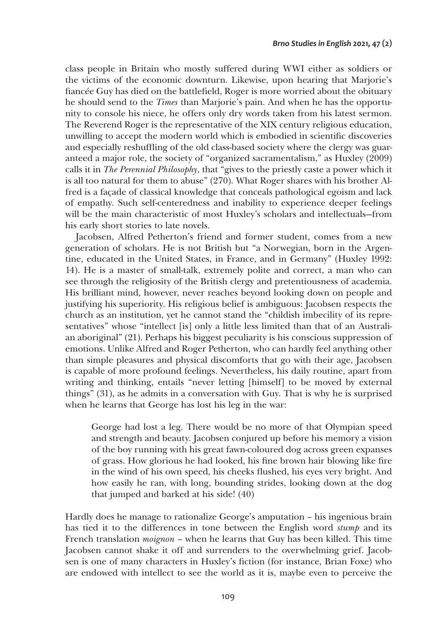class people in Britain who mostly suffered during WWI either as soldiers or the victims of the economic downturn. Likewise, upon hearing that Marjorie's fiancée Guy has died on the battlefield, Roger is more worried about the obituary he should send to the *Times* than Marjorie's pain. And when he has the opportunity to console his niece, he offers only dry words taken from his latest sermon. The Reverend Roger is the representative of the XIX century religious education, unwilling to accept the modern world which is embodied in scientific discoveries and especially reshuffling of the old class-based society where the clergy was guaranteed a major role, the society of "organized sacramentalism," as Huxley (2009) calls it in *The Perennial Philosophy*, that "gives to the priestly caste a power which it is all too natural for them to abuse" (270). What Roger shares with his brother Alfred is a façade of classical knowledge that conceals pathological egoism and lack of empathy. Such self-centeredness and inability to experience deeper feelings will be the main characteristic of most Huxley's scholars and intellectuals—from his early short stories to late novels.

Jacobsen, Alfred Petherton's friend and former student, comes from a new generation of scholars. He is not British but "a Norwegian, born in the Argentine, educated in the United States, in France, and in Germany" (Huxley 1992: 14). He is a master of small-talk, extremely polite and correct, a man who can see through the religiosity of the British clergy and pretentiousness of academia. His brilliant mind, however, never reaches beyond looking down on people and justifying his superiority. His religious belief is ambiguous: Jacobsen respects the church as an institution, yet he cannot stand the "childish imbecility of its representatives" whose "intellect [is] only a little less limited than that of an Australian aboriginal" (21). Perhaps his biggest peculiarity is his conscious suppression of emotions. Unlike Alfred and Roger Petherton, who can hardly feel anything other than simple pleasures and physical discomforts that go with their age, Jacobsen is capable of more profound feelings. Nevertheless, his daily routine, apart from writing and thinking, entails "never letting [himself] to be moved by external things" (31), as he admits in a conversation with Guy. That is why he is surprised when he learns that George has lost his leg in the war:

George had lost a leg. There would be no more of that Olympian speed and strength and beauty. Jacobsen conjured up before his memory a vision of the boy running with his great fawn-coloured dog across green expanses of grass. How glorious he had looked, his fine brown hair blowing like fire in the wind of his own speed, his cheeks flushed, his eyes very bright. And how easily he ran, with long, bounding strides, looking down at the dog that jumped and barked at his side! (40)

Hardly does he manage to rationalize George's amputation – his ingenious brain has tied it to the differences in tone between the English word *stump* and its French translation *moignon* – when he learns that Guy has been killed. This time Jacobsen cannot shake it off and surrenders to the overwhelming grief. Jacobsen is one of many characters in Huxley's fiction (for instance, Brian Foxe) who are endowed with intellect to see the world as it is, maybe even to perceive the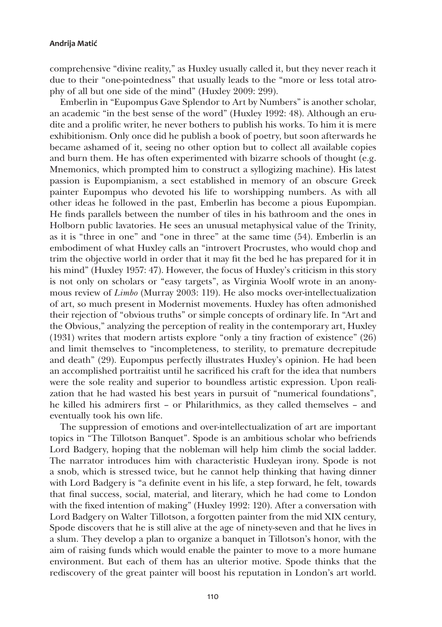comprehensive "divine reality," as Huxley usually called it, but they never reach it due to their "one-pointedness" that usually leads to the "more or less total atrophy of all but one side of the mind" (Huxley 2009: 299).

Emberlin in "Eupompus Gave Splendor to Art by Numbers" is another scholar, an academic "in the best sense of the word" (Huxley 1992: 48). Although an erudite and a prolific writer, he never bothers to publish his works. To him it is mere exhibitionism. Only once did he publish a book of poetry, but soon afterwards he became ashamed of it, seeing no other option but to collect all available copies and burn them. He has often experimented with bizarre schools of thought (e.g. Mnemonics, which prompted him to construct a syllogizing machine). His latest passion is Eupompianism, a sect established in memory of an obscure Greek painter Eupompus who devoted his life to worshipping numbers. As with all other ideas he followed in the past, Emberlin has become a pious Eupompian. He finds parallels between the number of tiles in his bathroom and the ones in Holborn public lavatories. He sees an unusual metaphysical value of the Trinity, as it is "three in one" and "one in three" at the same time (54). Emberlin is an embodiment of what Huxley calls an "introvert Procrustes, who would chop and trim the objective world in order that it may fit the bed he has prepared for it in his mind" (Huxley 1957: 47). However, the focus of Huxley's criticism in this story is not only on scholars or "easy targets", as Virginia Woolf wrote in an anonymous review of *Limbo* (Murray 2003: 119). He also mocks over-intellectualization of art, so much present in Modernist movements. Huxley has often admonished their rejection of "obvious truths" or simple concepts of ordinary life. In "Art and the Obvious," analyzing the perception of reality in the contemporary art, Huxley (1931) writes that modern artists explore "only a tiny fraction of existence" (26) and limit themselves to "incompleteness, to sterility, to premature decrepitude and death" (29). Eupompus perfectly illustrates Huxley's opinion. He had been an accomplished portraitist until he sacrificed his craft for the idea that numbers were the sole reality and superior to boundless artistic expression. Upon realization that he had wasted his best years in pursuit of "numerical foundations", he killed his admirers first – or Philarithmics, as they called themselves – and eventually took his own life.

The suppression of emotions and over-intellectualization of art are important topics in "The Tillotson Banquet". Spode is an ambitious scholar who befriends Lord Badgery, hoping that the nobleman will help him climb the social ladder. The narrator introduces him with characteristic Huxleyan irony. Spode is not a snob, which is stressed twice, but he cannot help thinking that having dinner with Lord Badgery is "a definite event in his life, a step forward, he felt, towards that final success, social, material, and literary, which he had come to London with the fixed intention of making" (Huxley 1992: 120). After a conversation with Lord Badgery on Walter Tillotson, a forgotten painter from the mid XIX century, Spode discovers that he is still alive at the age of ninety-seven and that he lives in a slum. They develop a plan to organize a banquet in Tillotson's honor, with the aim of raising funds which would enable the painter to move to a more humane environment. But each of them has an ulterior motive. Spode thinks that the rediscovery of the great painter will boost his reputation in London's art world.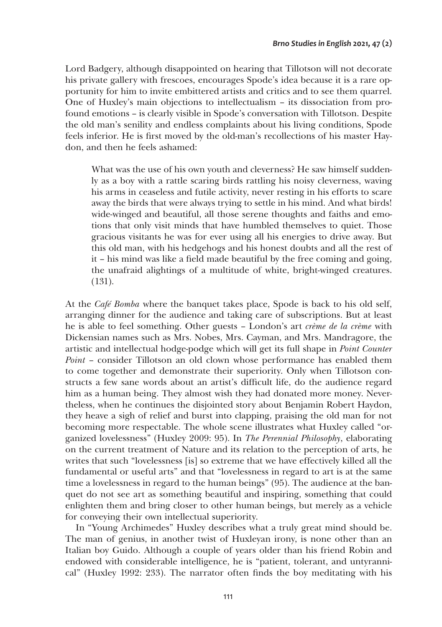Lord Badgery, although disappointed on hearing that Tillotson will not decorate his private gallery with frescoes, encourages Spode's idea because it is a rare opportunity for him to invite embittered artists and critics and to see them quarrel. One of Huxley's main objections to intellectualism – its dissociation from profound emotions – is clearly visible in Spode's conversation with Tillotson. Despite the old man's senility and endless complaints about his living conditions, Spode feels inferior. He is first moved by the old-man's recollections of his master Haydon, and then he feels ashamed:

What was the use of his own youth and cleverness? He saw himself suddenly as a boy with a rattle scaring birds rattling his noisy cleverness, waving his arms in ceaseless and futile activity, never resting in his efforts to scare away the birds that were always trying to settle in his mind. And what birds! wide-winged and beautiful, all those serene thoughts and faiths and emotions that only visit minds that have humbled themselves to quiet. Those gracious visitants he was for ever using all his energies to drive away. But this old man, with his hedgehogs and his honest doubts and all the rest of it – his mind was like a field made beautiful by the free coming and going, the unafraid alightings of a multitude of white, bright-winged creatures. (131).

At the *Café Bomba* where the banquet takes place, Spode is back to his old self, arranging dinner for the audience and taking care of subscriptions. But at least he is able to feel something. Other guests – London's art *crème de la crème* with Dickensian names such as Mrs. Nobes, Mrs. Cayman, and Mrs. Mandragore, the artistic and intellectual hodge-podge which will get its full shape in *Point Counter Point* – consider Tillotson an old clown whose performance has enabled them to come together and demonstrate their superiority. Only when Tillotson constructs a few sane words about an artist's difficult life, do the audience regard him as a human being. They almost wish they had donated more money. Nevertheless, when he continues the disjointed story about Benjamin Robert Haydon, they heave a sigh of relief and burst into clapping, praising the old man for not becoming more respectable. The whole scene illustrates what Huxley called "organized lovelessness" (Huxley 2009: 95). In *The Perennial Philosophy*, elaborating on the current treatment of Nature and its relation to the perception of arts, he writes that such "lovelessness [is] so extreme that we have effectively killed all the fundamental or useful arts" and that "lovelessness in regard to art is at the same time a lovelessness in regard to the human beings" (95). The audience at the banquet do not see art as something beautiful and inspiring, something that could enlighten them and bring closer to other human beings, but merely as a vehicle for conveying their own intellectual superiority.

In "Young Archimedes" Huxley describes what a truly great mind should be. The man of genius, in another twist of Huxleyan irony, is none other than an Italian boy Guido. Although a couple of years older than his friend Robin and endowed with considerable intelligence, he is "patient, tolerant, and untyrannical" (Huxley 1992: 233). The narrator often finds the boy meditating with his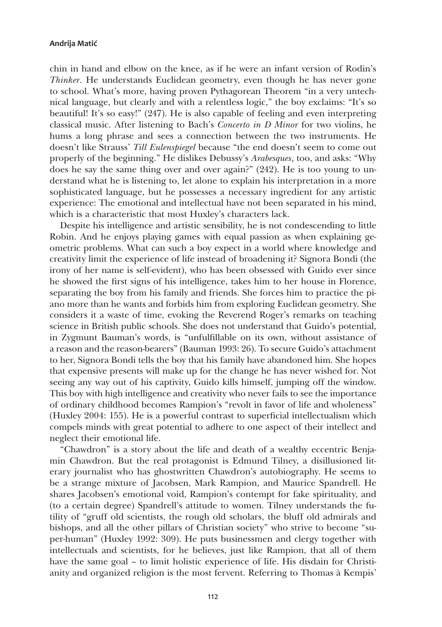chin in hand and elbow on the knee, as if he were an infant version of Rodin's *Thinker*. He understands Euclidean geometry, even though he has never gone to school. What's more, having proven Pythagorean Theorem "in a very untechnical language, but clearly and with a relentless logic," the boy exclaims: "It's so beautiful! It's so easy!" (247). He is also capable of feeling and even interpreting classical music. After listening to Bach's *Concerto in D Minor* for two violins, he hums a long phrase and sees a connection between the two instruments. He doesn't like Strauss' *Till Eulenspiegel* because "the end doesn't seem to come out properly of the beginning." He dislikes Debussy's *Arabesques*, too, and asks: "Why does he say the same thing over and over again?" (242). He is too young to understand what he is listening to, let alone to explain his interpretation in a more sophisticated language, but he possesses a necessary ingredient for any artistic experience: The emotional and intellectual have not been separated in his mind, which is a characteristic that most Huxley's characters lack.

Despite his intelligence and artistic sensibility, he is not condescending to little Robin. And he enjoys playing games with equal passion as when explaining geometric problems. What can such a boy expect in a world where knowledge and creativity limit the experience of life instead of broadening it? Signora Bondi (the irony of her name is self-evident), who has been obsessed with Guido ever since he showed the first signs of his intelligence, takes him to her house in Florence, separating the boy from his family and friends. She forces him to practice the piano more than he wants and forbids him from exploring Euclidean geometry. She considers it a waste of time, evoking the Reverend Roger's remarks on teaching science in British public schools. She does not understand that Guido's potential, in Zygmunt Bauman's words, is "unfulfillable on its own, without assistance of a reason and the reason-bearers" (Bauman 1993: 26). To secure Guido's attachment to her, Signora Bondi tells the boy that his family have abandoned him. She hopes that expensive presents will make up for the change he has never wished for. Not seeing any way out of his captivity, Guido kills himself, jumping off the window. This boy with high intelligence and creativity who never fails to see the importance of ordinary childhood becomes Rampion's "revolt in favor of life and wholeness" (Huxley 2004: 155). He is a powerful contrast to superficial intellectualism which compels minds with great potential to adhere to one aspect of their intellect and neglect their emotional life.

"Chawdron" is a story about the life and death of a wealthy eccentric Benjamin Chawdron. But the real protagonist is Edmund Tilney, a disillusioned literary journalist who has ghostwritten Chawdron's autobiography. He seems to be a strange mixture of Jacobsen, Mark Rampion, and Maurice Spandrell. He shares Jacobsen's emotional void, Rampion's contempt for fake spirituality, and (to a certain degree) Spandrell's attitude to women. Tilney understands the futility of "gruff old scientists, the rough old scholars, the bluff old admirals and bishops, and all the other pillars of Christian society" who strive to become "super-human" (Huxley 1992: 309). He puts businessmen and clergy together with intellectuals and scientists, for he believes, just like Rampion, that all of them have the same goal – to limit holistic experience of life. His disdain for Christianity and organized religion is the most fervent. Referring to Thomas à Kempis'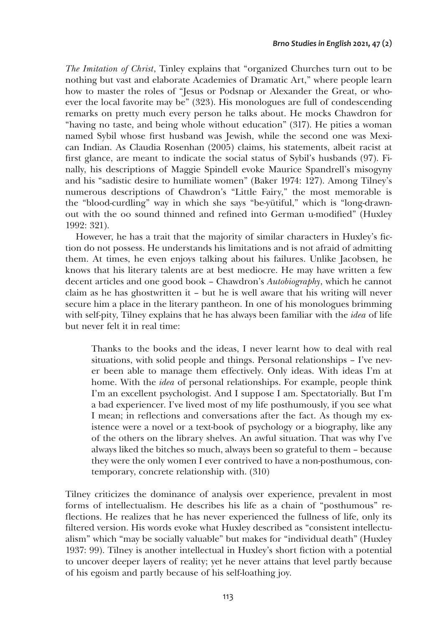*The Imitation of Christ*, Tinley explains that "organized Churches turn out to be nothing but vast and elaborate Academies of Dramatic Art," where people learn how to master the roles of "Jesus or Podsnap or Alexander the Great, or whoever the local favorite may be" (323). His monologues are full of condescending remarks on pretty much every person he talks about. He mocks Chawdron for "having no taste, and being whole without education" (317). He pities a woman named Sybil whose first husband was Jewish, while the second one was Mexican Indian. As Claudia Rosenhan (2005) claims, his statements, albeit racist at first glance, are meant to indicate the social status of Sybil's husbands (97). Finally, his descriptions of Maggie Spindell evoke Maurice Spandrell's misogyny and his "sadistic desire to humiliate women" (Baker 1974: 127). Among Tilney's numerous descriptions of Chawdron's "Little Fairy," the most memorable is the "blood-curdling" way in which she says "be-yütiful," which is "long-drawnout with the oo sound thinned and refined into German u-modified" (Huxley 1992: 321).

However, he has a trait that the majority of similar characters in Huxley's fiction do not possess. He understands his limitations and is not afraid of admitting them. At times, he even enjoys talking about his failures. Unlike Jacobsen, he knows that his literary talents are at best mediocre. He may have written a few decent articles and one good book – Chawdron's *Autobiography*, which he cannot claim as he has ghostwritten it – but he is well aware that his writing will never secure him a place in the literary pantheon. In one of his monologues brimming with self-pity, Tilney explains that he has always been familiar with the *idea* of life but never felt it in real time:

Thanks to the books and the ideas, I never learnt how to deal with real situations, with solid people and things. Personal relationships – I've never been able to manage them effectively. Only ideas. With ideas I'm at home. With the *idea* of personal relationships. For example, people think I'm an excellent psychologist. And I suppose I am. Spectatorially. But I'm a bad experiencer. I've lived most of my life posthumously, if you see what I mean; in reflections and conversations after the fact. As though my existence were a novel or a text-book of psychology or a biography, like any of the others on the library shelves. An awful situation. That was why I've always liked the bitches so much, always been so grateful to them – because they were the only women I ever contrived to have a non-posthumous, contemporary, concrete relationship with. (310)

Tilney criticizes the dominance of analysis over experience, prevalent in most forms of intellectualism. He describes his life as a chain of "posthumous" reflections. He realizes that he has never experienced the fullness of life, only its filtered version. His words evoke what Huxley described as "consistent intellectualism" which "may be socially valuable" but makes for "individual death" (Huxley 1937: 99). Tilney is another intellectual in Huxley's short fiction with a potential to uncover deeper layers of reality; yet he never attains that level partly because of his egoism and partly because of his self-loathing joy.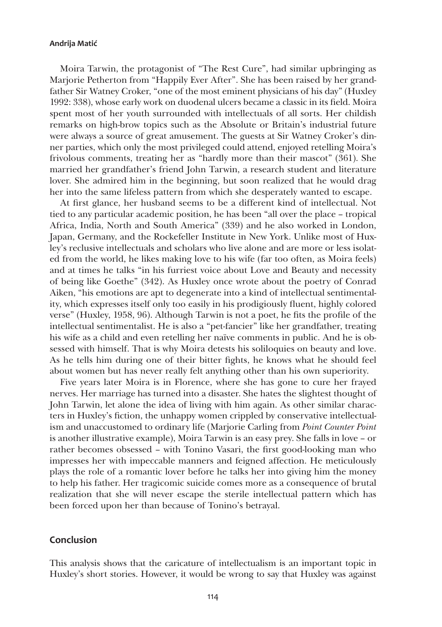Moira Tarwin, the protagonist of "The Rest Cure", had similar upbringing as Marjorie Petherton from "Happily Ever After". She has been raised by her grandfather Sir Watney Croker, "one of the most eminent physicians of his day" (Huxley 1992: 338), whose early work on duodenal ulcers became a classic in its field. Moira spent most of her youth surrounded with intellectuals of all sorts. Her childish remarks on high-brow topics such as the Absolute or Britain's industrial future were always a source of great amusement. The guests at Sir Watney Croker's dinner parties, which only the most privileged could attend, enjoyed retelling Moira's frivolous comments, treating her as "hardly more than their mascot" (361). She married her grandfather's friend John Tarwin, a research student and literature lover. She admired him in the beginning, but soon realized that he would drag her into the same lifeless pattern from which she desperately wanted to escape.

At first glance, her husband seems to be a different kind of intellectual. Not tied to any particular academic position, he has been "all over the place – tropical Africa, India, North and South America" (339) and he also worked in London, Japan, Germany, and the Rockefeller Institute in New York. Unlike most of Huxley's reclusive intellectuals and scholars who live alone and are more or less isolated from the world, he likes making love to his wife (far too often, as Moira feels) and at times he talks "in his furriest voice about Love and Beauty and necessity of being like Goethe" (342). As Huxley once wrote about the poetry of Conrad Aiken, "his emotions are apt to degenerate into a kind of intellectual sentimentality, which expresses itself only too easily in his prodigiously fluent, highly colored verse" (Huxley, 1958, 96). Although Tarwin is not a poet, he fits the profile of the intellectual sentimentalist. He is also a "pet-fancier" like her grandfather, treating his wife as a child and even retelling her naïve comments in public. And he is obsessed with himself. That is why Moira detests his soliloquies on beauty and love. As he tells him during one of their bitter fights, he knows what he should feel about women but has never really felt anything other than his own superiority.

Five years later Moira is in Florence, where she has gone to cure her frayed nerves. Her marriage has turned into a disaster. She hates the slightest thought of John Tarwin, let alone the idea of living with him again. As other similar characters in Huxley's fiction, the unhappy women crippled by conservative intellectualism and unaccustomed to ordinary life (Marjorie Carling from *Point Counter Point*  is another illustrative example), Moira Tarwin is an easy prey. She falls in love – or rather becomes obsessed – with Tonino Vasari, the first good-looking man who impresses her with impeccable manners and feigned affection. He meticulously plays the role of a romantic lover before he talks her into giving him the money to help his father. Her tragicomic suicide comes more as a consequence of brutal realization that she will never escape the sterile intellectual pattern which has been forced upon her than because of Tonino's betrayal.

## **Conclusion**

This analysis shows that the caricature of intellectualism is an important topic in Huxley's short stories. However, it would be wrong to say that Huxley was against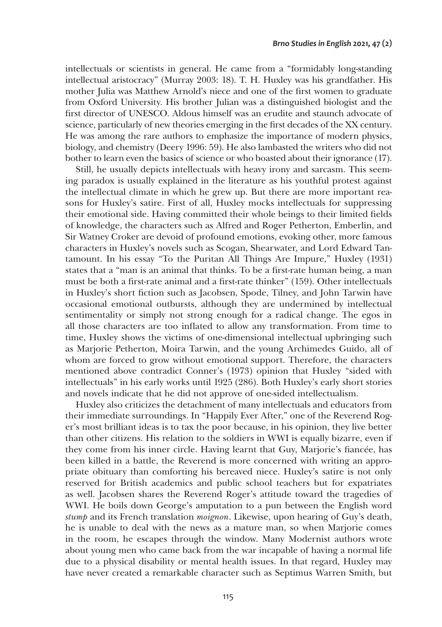intellectuals or scientists in general. He came from a "formidably long-standing intellectual aristocracy" (Murray 2003: 18). T. H. Huxley was his grandfather. His mother Julia was Matthew Arnold's niece and one of the first women to graduate from Oxford University. His brother Julian was a distinguished biologist and the first director of UNESCO. Aldous himself was an erudite and staunch advocate of science, particularly of new theories emerging in the first decades of the XX century. He was among the rare authors to emphasize the importance of modern physics, biology, and chemistry (Deery 1996: 59). He also lambasted the writers who did not bother to learn even the basics of science or who boasted about their ignorance (17).

Still, he usually depicts intellectuals with heavy irony and sarcasm. This seeming paradox is usually explained in the literature as his youthful protest against the intellectual climate in which he grew up. But there are more important reasons for Huxley's satire. First of all, Huxley mocks intellectuals for suppressing their emotional side. Having committed their whole beings to their limited fields of knowledge, the characters such as Alfred and Roger Petherton, Emberlin, and Sir Watney Croker are devoid of profound emotions, evoking other, more famous characters in Huxley's novels such as Scogan, Shearwater, and Lord Edward Tantamount. In his essay "To the Puritan All Things Are Impure," Huxley (1931) states that a "man is an animal that thinks. To be a first-rate human being, a man must be both a first-rate animal and a first-rate thinker" (159). Other intellectuals in Huxley's short fiction such as Jacobsen, Spode, Tilney, and John Tarwin have occasional emotional outbursts, although they are undermined by intellectual sentimentality or simply not strong enough for a radical change. The egos in all those characters are too inflated to allow any transformation. From time to time, Huxley shows the victims of one-dimensional intellectual upbringing such as Marjorie Petherton, Moira Tarwin, and the young Archimedes Guido, all of whom are forced to grow without emotional support. Therefore, the characters mentioned above contradict Conner's (1973) opinion that Huxley "sided with intellectuals" in his early works until 1925 (286). Both Huxley's early short stories and novels indicate that he did not approve of one-sided intellectualism.

Huxley also criticizes the detachment of many intellectuals and educators from their immediate surroundings. In "Happily Ever After," one of the Reverend Roger's most brilliant ideas is to tax the poor because, in his opinion, they live better than other citizens. His relation to the soldiers in WWI is equally bizarre, even if they come from his inner circle. Having learnt that Guy, Marjorie's fiancée, has been killed in a battle, the Reverend is more concerned with writing an appropriate obituary than comforting his bereaved niece. Huxley's satire is not only reserved for British academics and public school teachers but for expatriates as well. Jacobsen shares the Reverend Roger's attitude toward the tragedies of WWI. He boils down George's amputation to a pun between the English word *stump* and its French translation *moignon*. Likewise, upon hearing of Guy's death, he is unable to deal with the news as a mature man, so when Marjorie comes in the room, he escapes through the window. Many Modernist authors wrote about young men who came back from the war incapable of having a normal life due to a physical disability or mental health issues. In that regard, Huxley may have never created a remarkable character such as Septimus Warren Smith, but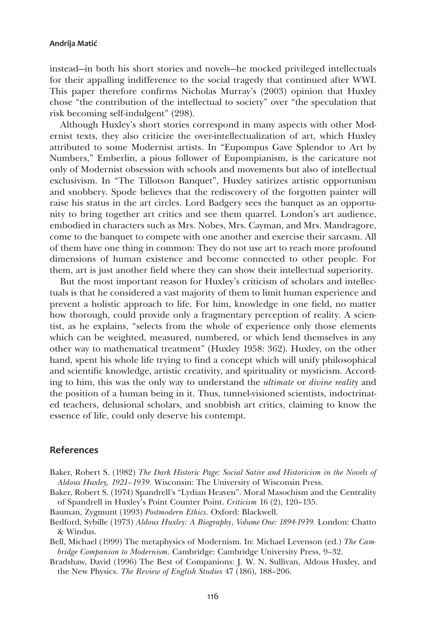instead—in both his short stories and novels—he mocked privileged intellectuals for their appalling indifference to the social tragedy that continued after WWI. This paper therefore confirms Nicholas Murray's (2003) opinion that Huxley chose "the contribution of the intellectual to society" over "the speculation that risk becoming self-indulgent" (298).

Although Huxley's short stories correspond in many aspects with other Modernist texts, they also criticize the over-intellectualization of art, which Huxley attributed to some Modernist artists. In "Eupompus Gave Splendor to Art by Numbers," Emberlin, a pious follower of Eupompianism, is the caricature not only of Modernist obsession with schools and movements but also of intellectual exclusivism. In "The Tillotson Banquet", Huxley satirizes artistic opportunism and snobbery. Spode believes that the rediscovery of the forgotten painter will raise his status in the art circles. Lord Badgery sees the banquet as an opportunity to bring together art critics and see them quarrel. London's art audience, embodied in characters such as Mrs. Nobes, Mrs. Cayman, and Mrs. Mandragore, come to the banquet to compete with one another and exercise their sarcasm. All of them have one thing in common: They do not use art to reach more profound dimensions of human existence and become connected to other people. For them, art is just another field where they can show their intellectual superiority.

But the most important reason for Huxley's criticism of scholars and intellectuals is that he considered a vast majority of them to limit human experience and prevent a holistic approach to life. For him, knowledge in one field, no matter how thorough, could provide only a fragmentary perception of reality. A scientist, as he explains, "selects from the whole of experience only those elements which can be weighted, measured, numbered, or which lend themselves in any other way to mathematical treatment" (Huxley 1958: 362). Huxley, on the other hand, spent his whole life trying to find a concept which will unify philosophical and scientific knowledge, artistic creativity, and spirituality or mysticism. According to him, this was the only way to understand the *ultimate* or *divine reality* and the position of a human being in it. Thus, tunnel-visioned scientists, indoctrinated teachers, delusional scholars, and snobbish art critics, claiming to know the essence of life, could only deserve his contempt.

# **References**

- Baker, Robert S. (1982) *The Dark Historic Page: Social Satire and Historicism in the Novels of Aldous Huxley, 1921–1939*. Wisconsin: The University of Wisconsin Press.
- Baker, Robert S. (1974) Spandrell's "Lydian Heaven". Moral Masochism and the Centrality of Spandrell in Huxley's Point Counter Point. *Criticism* 16 (2), 120–135.
- Bauman, Zygmunt (1993) *Postmodern Ethics*. Oxford: Blackwell.
- Bedford, Sybille (1973) *Aldous Huxley: A Biography*, *Volume One: 1894-1939.* London: Chatto & Windus.
- Bell, Michael (1999) The metaphysics of Modernism. In: Michael Levenson (ed.) *The Cambridge Companion to Modernism*. Cambridge: Cambridge University Press, 9–32.
- Bradshaw, David (1996) The Best of Companions: J. W. N. Sullivan, Aldous Huxley, and the New Physics. *The Review of English Studies* 47 (186), 188–206.